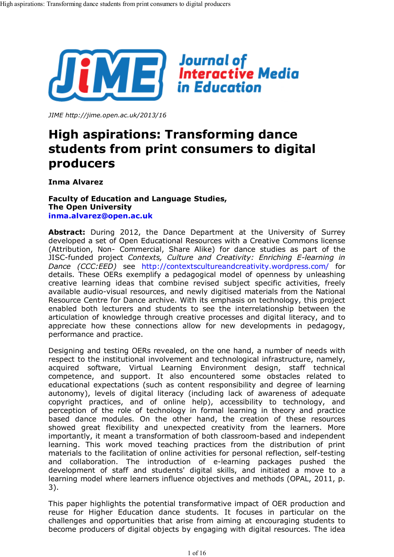

*JIME http://jime.open.ac.uk/2013/16*

# **High aspirations: Transforming dance students from print consumers to digital producers**

**Inma Alvarez**

#### **Faculty of Education and Language Studies, The Open University inma.alvarez@open.ac.uk**

**Abstract:** During 2012, the Dance Department at the University of Surrey developed a set of Open Educational Resources with a Creative Commons license (Attribution, Non- Commercial, Share Alike) for dance studies as part of the JISC-funded project *Contexts, Culture and Creativity: Enriching E-learning in Dance (CCC:EED)* see http://contextscultureandcreativity.wordpress.com/ for details. These OERs exemplify a pedagogical model of openness by unleashing creative learning ideas that combine revised subject specific activities, freely available audio-visual resources, and newly digitised materials from the National Resource Centre for Dance archive. With its emphasis on technology, this project enabled both lecturers and students to see the interrelationship between the articulation of knowledge through creative processes and digital literacy, and to appreciate how these connections allow for new developments in pedagogy, performance and practice.

Designing and testing OERs revealed, on the one hand, a number of needs with respect to the institutional involvement and technological infrastructure, namely, acquired software, Virtual Learning Environment design, staff technical competence, and support. It also encountered some obstacles related to educational expectations (such as content responsibility and degree of learning autonomy), levels of digital literacy (including lack of awareness of adequate copyright practices, and of online help), accessibility to technology, and perception of the role of technology in formal learning in theory and practice based dance modules. On the other hand, the creation of these resources showed great flexibility and unexpected creativity from the learners. More importantly, it meant a transformation of both classroom-based and independent learning. This work moved teaching practices from the distribution of print materials to the facilitation of online activities for personal reflection, self-testing and collaboration. The introduction of e-learning packages pushed the development of staff and students' digital skills, and initiated a move to a learning model where learners influence objectives and methods (OPAL, 2011, p. 3).

This paper highlights the potential transformative impact of OER production and reuse for Higher Education dance students. It focuses in particular on the challenges and opportunities that arise from aiming at encouraging students to become producers of digital objects by engaging with digital resources. The idea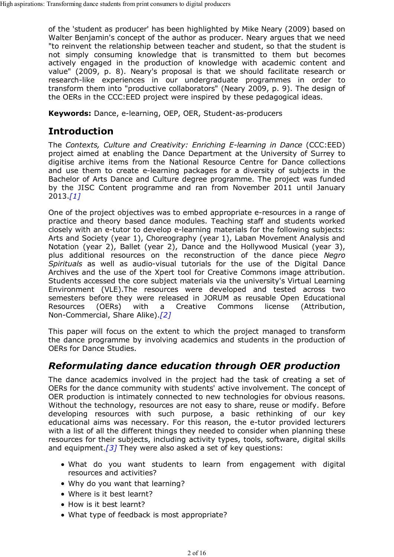of the 'student as producer' has been highlighted by Mike Neary (2009) based on Walter Benjamin's concept of the author as producer. Neary argues that we need "to reinvent the relationship between teacher and student, so that the student is not simply consuming knowledge that is transmitted to them but becomes actively engaged in the production of knowledge with academic content and value" (2009, p. 8). Neary's proposal is that we should facilitate research or research-like experiences in our undergraduate programmes in order to transform them into "productive collaborators" (Neary 2009, p. 9). The design of the OERs in the CCC:EED project were inspired by these pedagogical ideas.

**Keywords:** Dance, e-learning, OEP, OER, Student-as-producers

## **Introduction**

The *Contexts, Culture and Creativity: Enriching E-learning in Dance* (CCC:EED) project aimed at enabling the Dance Department at the University of Surrey to digitise archive items from the National Resource Centre for Dance collections and use them to create e-learning packages for a diversity of subjects in the Bachelor of Arts Dance and Culture degree programme. The project was funded by the JISC Content programme and ran from November 2011 until January 2013.*[1]*

One of the project objectives was to embed appropriate e-resources in a range of practice and theory based dance modules. Teaching staff and students worked closely with an e-tutor to develop e-learning materials for the following subjects: Arts and Society (year 1), Choreography (year 1), Laban Movement Analysis and Notation (year 2), Ballet (year 2), Dance and the Hollywood Musical (year 3), plus additional resources on the reconstruction of the dance piece *Negro Spirituals* as well as audio-visual tutorials for the use of the Digital Dance Archives and the use of the Xpert tool for Creative Commons image attribution. Students accessed the core subject materials via the university's Virtual Learning Environment (VLE).The resources were developed and tested across two semesters before they were released in JORUM as reusable Open Educational Resources (OERs) with a Creative Commons license (Attribution, Non-Commercial, Share Alike).*[2]*

This paper will focus on the extent to which the project managed to transform the dance programme by involving academics and students in the production of OERs for Dance Studies.

## *Reformulating dance education through OER production*

The dance academics involved in the project had the task of creating a set of OERs for the dance community with students' active involvement. The concept of OER production is intimately connected to new technologies for obvious reasons. Without the technology, resources are not easy to share, reuse or modify. Before developing resources with such purpose, a basic rethinking of our key educational aims was necessary. For this reason, the e-tutor provided lecturers with a list of all the different things they needed to consider when planning these resources for their subjects, including activity types, tools, software, digital skills and equipment.*[3]* They were also asked a set of key questions:

- What do you want students to learn from engagement with digital resources and activities?
- Why do you want that learning?
- Where is it best learnt?
- How is it best learnt?
- What type of feedback is most appropriate?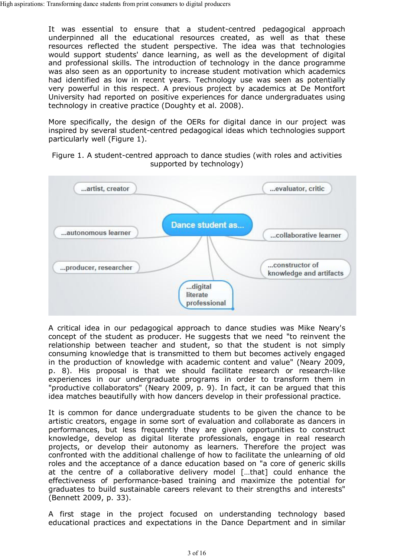It was essential to ensure that a student-centred pedagogical approach underpinned all the educational resources created, as well as that these resources reflected the student perspective. The idea was that technologies would support students' dance learning, as well as the development of digital and professional skills. The introduction of technology in the dance programme was also seen as an opportunity to increase student motivation which academics had identified as low in recent years. Technology use was seen as potentially very powerful in this respect. A previous project by academics at De Montfort University had reported on positive experiences for dance undergraduates using technology in creative practice (Doughty et al. 2008).

More specifically, the design of the OERs for digital dance in our project was inspired by several student-centred pedagogical ideas which technologies support particularly well (Figure 1).

Figure 1. A student-centred approach to dance studies (with roles and activities supported by technology)



A critical idea in our pedagogical approach to dance studies was Mike Neary's concept of the student as producer. He suggests that we need "to reinvent the relationship between teacher and student, so that the student is not simply consuming knowledge that is transmitted to them but becomes actively engaged in the production of knowledge with academic content and value" (Neary 2009, p. 8). His proposal is that we should facilitate research or research-like experiences in our undergraduate programs in order to transform them in "productive collaborators" (Neary 2009, p. 9). In fact, it can be argued that this idea matches beautifully with how dancers develop in their professional practice.

It is common for dance undergraduate students to be given the chance to be artistic creators, engage in some sort of evaluation and collaborate as dancers in performances, but less frequently they are given opportunities to construct knowledge, develop as digital literate professionals, engage in real research projects, or develop their autonomy as learners. Therefore the project was confronted with the additional challenge of how to facilitate the unlearning of old roles and the acceptance of a dance education based on "a core of generic skills at the centre of a collaborative delivery model […that] could enhance the effectiveness of performance-based training and maximize the potential for graduates to build sustainable careers relevant to their strengths and interests" (Bennett 2009, p. 33).

A first stage in the project focused on understanding technology based educational practices and expectations in the Dance Department and in similar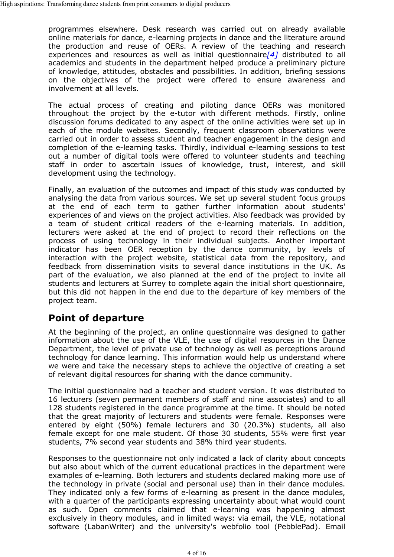programmes elsewhere. Desk research was carried out on already available online materials for dance, e-learning projects in dance and the literature around the production and reuse of OERs. A review of the teaching and research experiences and resources as well as initial questionnaire*[4]* distributed to all academics and students in the department helped produce a preliminary picture of knowledge, attitudes, obstacles and possibilities. In addition, briefing sessions on the objectives of the project were offered to ensure awareness and involvement at all levels.

The actual process of creating and piloting dance OERs was monitored throughout the project by the e-tutor with different methods. Firstly, online discussion forums dedicated to any aspect of the online activities were set up in each of the module websites. Secondly, frequent classroom observations were carried out in order to assess student and teacher engagement in the design and completion of the e-learning tasks. Thirdly, individual e-learning sessions to test out a number of digital tools were offered to volunteer students and teaching staff in order to ascertain issues of knowledge, trust, interest, and skill development using the technology.

Finally, an evaluation of the outcomes and impact of this study was conducted by analysing the data from various sources. We set up several student focus groups at the end of each term to gather further information about students' experiences of and views on the project activities. Also feedback was provided by a team of student critical readers of the e-learning materials. In addition, lecturers were asked at the end of project to record their reflections on the process of using technology in their individual subjects. Another important indicator has been OER reception by the dance community, by levels of interaction with the project website, statistical data from the repository, and feedback from dissemination visits to several dance institutions in the UK. As part of the evaluation, we also planned at the end of the project to invite all students and lecturers at Surrey to complete again the initial short questionnaire, but this did not happen in the end due to the departure of key members of the project team.

### **Point of departure**

At the beginning of the project, an online questionnaire was designed to gather information about the use of the VLE, the use of digital resources in the Dance Department, the level of private use of technology as well as perceptions around technology for dance learning. This information would help us understand where we were and take the necessary steps to achieve the objective of creating a set of relevant digital resources for sharing with the dance community.

The initial questionnaire had a teacher and student version. It was distributed to 16 lecturers (seven permanent members of staff and nine associates) and to all 128 students registered in the dance programme at the time. It should be noted that the great majority of lecturers and students were female. Responses were entered by eight (50%) female lecturers and 30 (20.3%) students, all also female except for one male student. Of those 30 students, 55% were first year students, 7% second year students and 38% third year students.

Responses to the questionnaire not only indicated a lack of clarity about concepts but also about which of the current educational practices in the department were examples of e-learning. Both lecturers and students declared making more use of the technology in private (social and personal use) than in their dance modules. They indicated only a few forms of e-learning as present in the dance modules, with a quarter of the participants expressing uncertainty about what would count as such. Open comments claimed that e-learning was happening almost exclusively in theory modules, and in limited ways: via email, the VLE, notational software (LabanWriter) and the university's webfolio tool (PebblePad). Email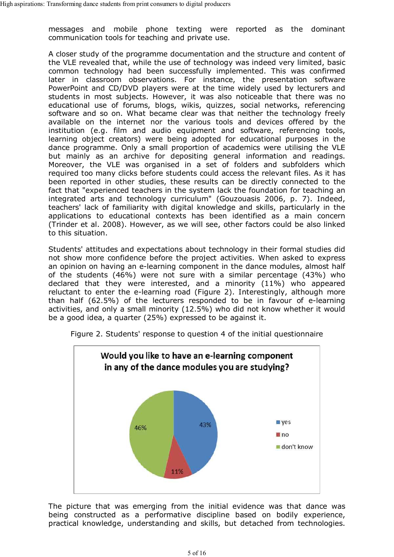messages and mobile phone texting were reported as the dominant communication tools for teaching and private use.

A closer study of the programme documentation and the structure and content of the VLE revealed that, while the use of technology was indeed very limited, basic common technology had been successfully implemented. This was confirmed later in classroom observations. For instance, the presentation software PowerPoint and CD/DVD players were at the time widely used by lecturers and students in most subjects. However, it was also noticeable that there was no educational use of forums, blogs, wikis, quizzes, social networks, referencing software and so on. What became clear was that neither the technology freely available on the internet nor the various tools and devices offered by the institution (e.g. film and audio equipment and software, referencing tools, learning object creators) were being adopted for educational purposes in the dance programme. Only a small proportion of academics were utilising the VLE but mainly as an archive for depositing general information and readings. Moreover, the VLE was organised in a set of folders and subfolders which required too many clicks before students could access the relevant files. As it has been reported in other studies, these results can be directly connected to the fact that "experienced teachers in the system lack the foundation for teaching an integrated arts and technology curriculum" (Gouzouasis 2006, p. 7). Indeed, teachers' lack of familiarity with digital knowledge and skills, particularly in the applications to educational contexts has been identified as a main concern (Trinder et al. 2008). However, as we will see, other factors could be also linked to this situation.

Students' attitudes and expectations about technology in their formal studies did not show more confidence before the project activities. When asked to express an opinion on having an e-learning component in the dance modules, almost half of the students (46%) were not sure with a similar percentage (43%) who declared that they were interested, and a minority (11%) who appeared reluctant to enter the e-learning road (Figure 2). Interestingly, although more than half (62.5%) of the lecturers responded to be in favour of e-learning activities, and only a small minority (12.5%) who did not know whether it would be a good idea, a quarter (25%) expressed to be against it.



Figure 2. Students' response to question 4 of the initial questionnaire

The picture that was emerging from the initial evidence was that dance was being constructed as a performative discipline based on bodily experience, practical knowledge, understanding and skills, but detached from technologies.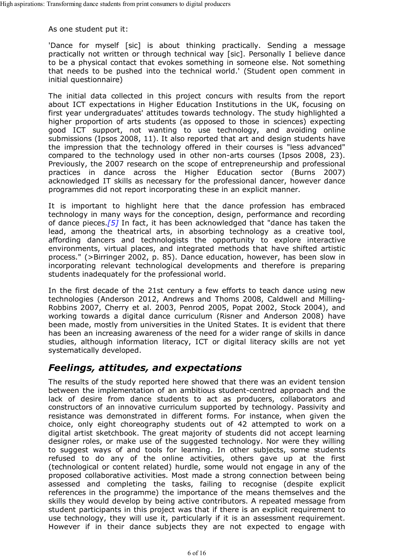As one student put it:

'Dance for myself [sic] is about thinking practically. Sending a message practically not written or through technical way [sic]. Personally I believe dance to be a physical contact that evokes something in someone else. Not something that needs to be pushed into the technical world.' (Student open comment in initial questionnaire)

The initial data collected in this project concurs with results from the report about ICT expectations in Higher Education Institutions in the UK, focusing on first year undergraduates' attitudes towards technology. The study highlighted a higher proportion of arts students (as opposed to those in sciences) expecting good ICT support, not wanting to use technology, and avoiding online submissions (Ipsos 2008, 11). It also reported that art and design students have the impression that the technology offered in their courses is "less advanced" compared to the technology used in other non-arts courses (Ipsos 2008, 23). Previously, the 2007 research on the scope of entrepreneurship and professional practices in dance across the Higher Education sector (Burns 2007) acknowledged IT skills as necessary for the professional dancer, however dance programmes did not report incorporating these in an explicit manner.

It is important to highlight here that the dance profession has embraced technology in many ways for the conception, design, performance and recording of dance pieces.*[5]* In fact, it has been acknowledged that "dance has taken the lead, among the theatrical arts, in absorbing technology as a creative tool, affording dancers and technologists the opportunity to explore interactive environments, virtual places, and integrated methods that have shifted artistic process." (>Birringer 2002, p. 85). Dance education, however, has been slow in incorporating relevant technological developments and therefore is preparing students inadequately for the professional world.

In the first decade of the 21st century a few efforts to teach dance using new technologies (Anderson 2012, Andrews and Thoms 2008, Caldwell and Milling-Robbins 2007, Cherry et al. 2003, Penrod 2005, Popat 2002, Stock 2004), and working towards a digital dance curriculum (Risner and Anderson 2008) have been made, mostly from universities in the United States. It is evident that there has been an increasing awareness of the need for a wider range of skills in dance studies, although information literacy, ICT or digital literacy skills are not yet systematically developed.

#### *Feelings, attitudes, and expectations*

The results of the study reported here showed that there was an evident tension between the implementation of an ambitious student-centred approach and the lack of desire from dance students to act as producers, collaborators and constructors of an innovative curriculum supported by technology. Passivity and resistance was demonstrated in different forms. For instance, when given the choice, only eight choreography students out of 42 attempted to work on a digital artist sketchbook. The great majority of students did not accept learning designer roles, or make use of the suggested technology. Nor were they willing to suggest ways of and tools for learning. In other subjects, some students refused to do any of the online activities, others gave up at the first (technological or content related) hurdle, some would not engage in any of the proposed collaborative activities. Most made a strong connection between being assessed and completing the tasks, failing to recognise (despite explicit references in the programme) the importance of the means themselves and the skills they would develop by being active contributors. A repeated message from student participants in this project was that if there is an explicit requirement to use technology, they will use it, particularly if it is an assessment requirement. However if in their dance subjects they are not expected to engage with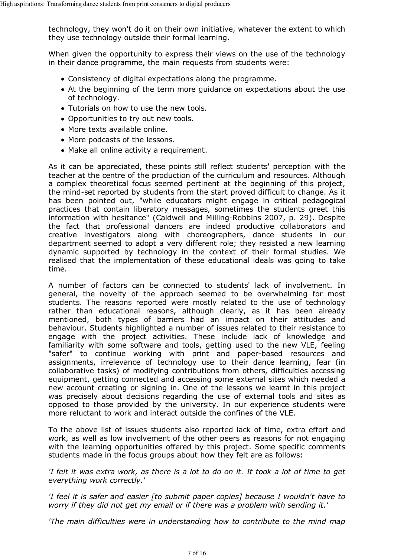technology, they won't do it on their own initiative, whatever the extent to which they use technology outside their formal learning.

When given the opportunity to express their views on the use of the technology in their dance programme, the main requests from students were:

- Consistency of digital expectations along the programme.
- At the beginning of the term more guidance on expectations about the use of technology.
- Tutorials on how to use the new tools.
- Opportunities to try out new tools.
- More texts available online.
- More podcasts of the lessons.
- Make all online activity a requirement.

As it can be appreciated, these points still reflect students' perception with the teacher at the centre of the production of the curriculum and resources. Although a complex theoretical focus seemed pertinent at the beginning of this project, the mind-set reported by students from the start proved difficult to change. As it has been pointed out, "while educators might engage in critical pedagogical practices that contain liberatory messages, sometimes the students greet this information with hesitance" (Caldwell and Milling-Robbins 2007, p. 29). Despite the fact that professional dancers are indeed productive collaborators and creative investigators along with choreographers, dance students in our department seemed to adopt a very different role; they resisted a new learning dynamic supported by technology in the context of their formal studies. We realised that the implementation of these educational ideals was going to take time.

A number of factors can be connected to students' lack of involvement. In general, the novelty of the approach seemed to be overwhelming for most students. The reasons reported were mostly related to the use of technology rather than educational reasons, although clearly, as it has been already mentioned, both types of barriers had an impact on their attitudes and behaviour. Students highlighted a number of issues related to their resistance to engage with the project activities. These include lack of knowledge and familiarity with some software and tools, getting used to the new VLE, feeling "safer" to continue working with print and paper-based resources and assignments, irrelevance of technology use to their dance learning, fear (in collaborative tasks) of modifying contributions from others, difficulties accessing equipment, getting connected and accessing some external sites which needed a new account creating or signing in. One of the lessons we learnt in this project was precisely about decisions regarding the use of external tools and sites as opposed to those provided by the university. In our experience students were more reluctant to work and interact outside the confines of the VLE.

To the above list of issues students also reported lack of time, extra effort and work, as well as low involvement of the other peers as reasons for not engaging with the learning opportunities offered by this project. Some specific comments students made in the focus groups about how they felt are as follows:

*'I felt it was extra work, as there is a lot to do on it. It took a lot of time to get everything work correctly.'*

*'I feel it is safer and easier [to submit paper copies] because I wouldn't have to worry if they did not get my email or if there was a problem with sending it.'*

*'The main difficulties were in understanding how to contribute to the mind map*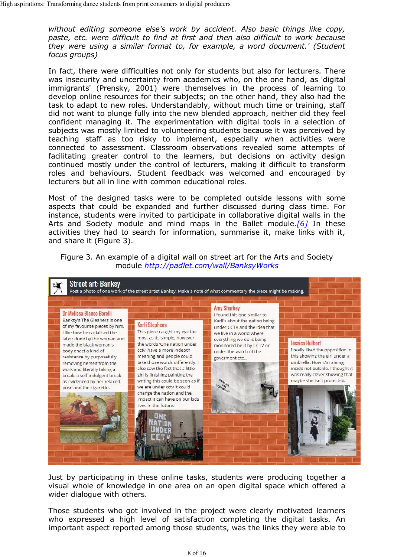*without editing someone else's work by accident. Also basic things like copy, paste, etc. were difficult to find at first and then also difficult to work because they were using a similar format to, for example, a word document.' (Student focus groups)*

In fact, there were difficulties not only for students but also for lecturers. There was insecurity and uncertainty from academics who, on the one hand, as 'digital immigrants' (Prensky, 2001) were themselves in the process of learning to develop online resources for their subjects; on the other hand, they also had the task to adapt to new roles. Understandably, without much time or training, staff did not want to plunge fully into the new blended approach, neither did they feel confident managing it. The experimentation with digital tools in a selection of subjects was mostly limited to volunteering students because it was perceived by teaching staff as too risky to implement, especially when activities were connected to assessment. Classroom observations revealed some attempts of facilitating greater control to the learners, but decisions on activity design continued mostly under the control of lecturers, making it difficult to transform roles and behaviours. Student feedback was welcomed and encouraged by lecturers but all in line with common educational roles.

Most of the designed tasks were to be completed outside lessons with some aspects that could be expanded and further discussed during class time. For instance, students were invited to participate in collaborative digital walls in the Arts and Society module and mind maps in the Ballet module.*[6]* In these activities they had to search for information, summarise it, make links with it, and share it (Figure 3).





Just by participating in these online tasks, students were producing together a visual whole of knowledge in one area on an open digital space which offered a wider dialogue with others.

Those students who got involved in the project were clearly motivated learners who expressed a high level of satisfaction completing the digital tasks. An important aspect reported among those students, was the links they were able to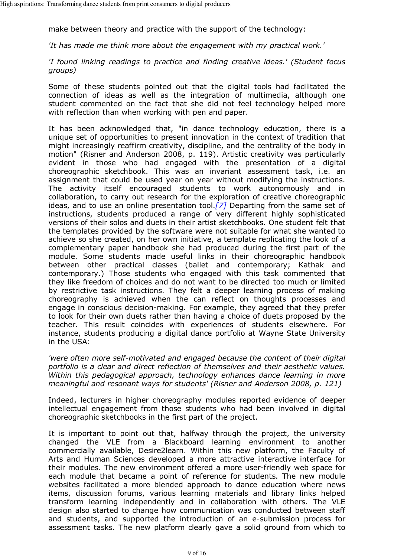make between theory and practice with the support of the technology:

*'It has made me think more about the engagement with my practical work.'*

*'I found linking readings to practice and finding creative ideas.' (Student focus groups)*

Some of these students pointed out that the digital tools had facilitated the connection of ideas as well as the integration of multimedia, although one student commented on the fact that she did not feel technology helped more with reflection than when working with pen and paper.

It has been acknowledged that, "in dance technology education, there is a unique set of opportunities to present innovation in the context of tradition that might increasingly reaffirm creativity, discipline, and the centrality of the body in motion" (Risner and Anderson 2008, p. 119). Artistic creativity was particularly evident in those who had engaged with the presentation of a digital choreographic sketchbook. This was an invariant assessment task, i.e. an assignment that could be used year on year without modifying the instructions. The activity itself encouraged students to work autonomously and in collaboration, to carry out research for the exploration of creative choreographic ideas, and to use an online presentation tool.*[7]* Departing from the same set of instructions, students produced a range of very different highly sophisticated versions of their solos and duets in their artist sketchbooks. One student felt that the templates provided by the software were not suitable for what she wanted to achieve so she created, on her own initiative, a template replicating the look of a complementary paper handbook she had produced during the first part of the module. Some students made useful links in their choreographic handbook between other practical classes (ballet and contemporary; Kathak and contemporary.) Those students who engaged with this task commented that they like freedom of choices and do not want to be directed too much or limited by restrictive task instructions. They felt a deeper learning process of making choreography is achieved when the can reflect on thoughts processes and engage in conscious decision-making. For example, they agreed that they prefer to look for their own duets rather than having a choice of duets proposed by the teacher. This result coincides with experiences of students elsewhere. For instance, students producing a digital dance portfolio at Wayne State University in the USA:

*'were often more self-motivated and engaged because the content of their digital portfolio is a clear and direct reflection of themselves and their aesthetic values. Within this pedagogical approach, technology enhances dance learning in more meaningful and resonant ways for students' (Risner and Anderson 2008, p. 121)*

Indeed, lecturers in higher choreography modules reported evidence of deeper intellectual engagement from those students who had been involved in digital choreographic sketchbooks in the first part of the project.

It is important to point out that, halfway through the project, the university changed the VLE from a Blackboard learning environment to another commercially available, Desire2learn. Within this new platform, the Faculty of Arts and Human Sciences developed a more attractive interactive interface for their modules. The new environment offered a more user-friendly web space for each module that became a point of reference for students. The new module websites facilitated a more blended approach to dance education where news items, discussion forums, various learning materials and library links helped transform learning independently and in collaboration with others. The VLE design also started to change how communication was conducted between staff and students, and supported the introduction of an e-submission process for assessment tasks. The new platform clearly gave a solid ground from which to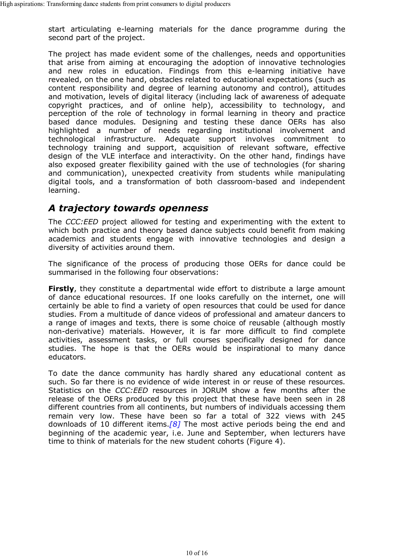start articulating e-learning materials for the dance programme during the second part of the project.

The project has made evident some of the challenges, needs and opportunities that arise from aiming at encouraging the adoption of innovative technologies and new roles in education. Findings from this e-learning initiative have revealed, on the one hand, obstacles related to educational expectations (such as content responsibility and degree of learning autonomy and control), attitudes and motivation, levels of digital literacy (including lack of awareness of adequate copyright practices, and of online help), accessibility to technology, and perception of the role of technology in formal learning in theory and practice based dance modules. Designing and testing these dance OERs has also highlighted a number of needs regarding institutional involvement and technological infrastructure. Adequate support involves commitment to technology training and support, acquisition of relevant software, effective design of the VLE interface and interactivity. On the other hand, findings have also exposed greater flexibility gained with the use of technologies (for sharing and communication), unexpected creativity from students while manipulating digital tools, and a transformation of both classroom-based and independent learning.

## *A trajectory towards openness*

The *CCC:EED* project allowed for testing and experimenting with the extent to which both practice and theory based dance subjects could benefit from making academics and students engage with innovative technologies and design a diversity of activities around them.

The significance of the process of producing those OERs for dance could be summarised in the following four observations:

**Firstly**, they constitute a departmental wide effort to distribute a large amount of dance educational resources. If one looks carefully on the internet, one will certainly be able to find a variety of open resources that could be used for dance studies. From a multitude of dance videos of professional and amateur dancers to a range of images and texts, there is some choice of reusable (although mostly non-derivative) materials. However, it is far more difficult to find complete activities, assessment tasks, or full courses specifically designed for dance studies. The hope is that the OERs would be inspirational to many dance educators.

To date the dance community has hardly shared any educational content as such. So far there is no evidence of wide interest in or reuse of these resources. Statistics on the *CCC:EED* resources in JORUM show a few months after the release of the OERs produced by this project that these have been seen in 28 different countries from all continents, but numbers of individuals accessing them remain very low. These have been so far a total of 322 views with 245 downloads of 10 different items.*[8]* The most active periods being the end and beginning of the academic year, i.e. June and September, when lecturers have time to think of materials for the new student cohorts (Figure 4).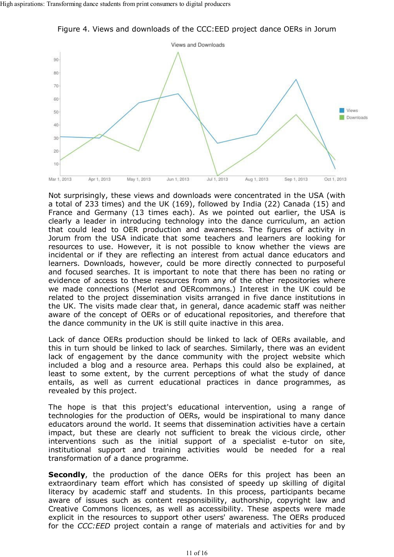

Figure 4. Views and downloads of the CCC:EED project dance OERs in Jorum

Not surprisingly, these views and downloads were concentrated in the USA (with a total of 233 times) and the UK (169), followed by India (22) Canada (15) and France and Germany (13 times each). As we pointed out earlier, the USA is clearly a leader in introducing technology into the dance curriculum, an action that could lead to OER production and awareness. The figures of activity in Jorum from the USA indicate that some teachers and learners are looking for resources to use. However, it is not possible to know whether the views are incidental or if they are reflecting an interest from actual dance educators and learners. Downloads, however, could be more directly connected to purposeful and focused searches. It is important to note that there has been no rating or evidence of access to these resources from any of the other repositories where we made connections (Merlot and OERcommons.) Interest in the UK could be related to the project dissemination visits arranged in five dance institutions in the UK. The visits made clear that, in general, dance academic staff was neither aware of the concept of OERs or of educational repositories, and therefore that the dance community in the UK is still quite inactive in this area.

Lack of dance OERs production should be linked to lack of OERs available, and this in turn should be linked to lack of searches. Similarly, there was an evident lack of engagement by the dance community with the project website which included a blog and a resource area. Perhaps this could also be explained, at least to some extent, by the current perceptions of what the study of dance entails, as well as current educational practices in dance programmes, as revealed by this project.

The hope is that this project's educational intervention, using a range of technologies for the production of OERs, would be inspirational to many dance educators around the world. It seems that dissemination activities have a certain impact, but these are clearly not sufficient to break the vicious circle, other interventions such as the initial support of a specialist e-tutor on site, institutional support and training activities would be needed for a real transformation of a dance programme.

**Secondly**, the production of the dance OERs for this project has been an extraordinary team effort which has consisted of speedy up skilling of digital literacy by academic staff and students. In this process, participants became aware of issues such as content responsibility, authorship, copyright law and Creative Commons licences, as well as accessibility. These aspects were made explicit in the resources to support other users' awareness. The OERs produced for the *CCC:EED* project contain a range of materials and activities for and by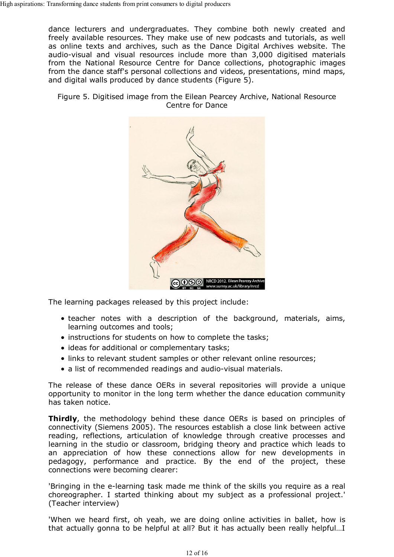dance lecturers and undergraduates. They combine both newly created and freely available resources. They make use of new podcasts and tutorials, as well as online texts and archives, such as the Dance Digital Archives website. The audio-visual and visual resources include more than 3,000 digitised materials from the National Resource Centre for Dance collections, photographic images from the dance staff's personal collections and videos, presentations, mind maps, and digital walls produced by dance students (Figure 5).

Figure 5. Digitised image from the Eilean Pearcey Archive, National Resource Centre for Dance



The learning packages released by this project include:

- teacher notes with a description of the background, materials, aims, learning outcomes and tools;
- instructions for students on how to complete the tasks;
- ideas for additional or complementary tasks;
- links to relevant student samples or other relevant online resources;
- a list of recommended readings and audio-visual materials.

The release of these dance OERs in several repositories will provide a unique opportunity to monitor in the long term whether the dance education community has taken notice.

**Thirdly**, the methodology behind these dance OERs is based on principles of connectivity (Siemens 2005). The resources establish a close link between active reading, reflections, articulation of knowledge through creative processes and learning in the studio or classroom, bridging theory and practice which leads to an appreciation of how these connections allow for new developments in pedagogy, performance and practice. By the end of the project, these connections were becoming clearer:

'Bringing in the e-learning task made me think of the skills you require as a real choreographer. I started thinking about my subject as a professional project.' (Teacher interview)

'When we heard first, oh yeah, we are doing online activities in ballet, how is that actually gonna to be helpful at all? But it has actually been really helpful…I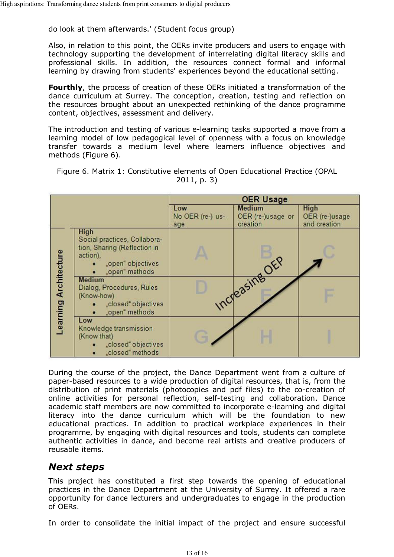do look at them afterwards.' (Student focus group)

Also, in relation to this point, the OERs invite producers and users to engage with technology supporting the development of interrelating digital literacy skills and professional skills. In addition, the resources connect formal and informal learning by drawing from students' experiences beyond the educational setting.

**Fourthly**, the process of creation of these OERs initiated a transformation of the dance curriculum at Surrey. The conception, creation, testing and reflection on the resources brought about an unexpected rethinking of the dance programme content, objectives, assessment and delivery.

The introduction and testing of various e-learning tasks supported a move from a learning model of low pedagogical level of openness with a focus on knowledge transfer towards a medium level where learners influence objectives and methods (Figure 6).

| Figure 6. Matrix 1: Constitutive elements of Open Educational Practice (OPAL |  |  |  |  |
|------------------------------------------------------------------------------|--|--|--|--|
| 2011, p. 3)                                                                  |  |  |  |  |
|                                                                              |  |  |  |  |
|                                                                              |  |  |  |  |

|  |                       |                                                                                                                                | <b>OER Usage</b>               |                                                |                                               |
|--|-----------------------|--------------------------------------------------------------------------------------------------------------------------------|--------------------------------|------------------------------------------------|-----------------------------------------------|
|  |                       |                                                                                                                                | Low<br>No OER (re-) us-<br>age | <b>Medium</b><br>OER (re-)usage or<br>creation | <b>High</b><br>OER (re-)usage<br>and creation |
|  |                       | <b>High</b><br>Social practices, Collabora-<br>tion, Sharing (Reflection in<br>action),<br>"open" objectives<br>.open" methods |                                |                                                |                                               |
|  | Learning Architecture | <b>Medium</b><br>Dialog, Procedures, Rules<br>(Know-how)<br>"closed" objectives<br>"open" methods                              |                                | Increasing OEP                                 |                                               |
|  |                       | Low<br>Knowledge transmission<br>(Know that)<br>"closed" objectives<br>"closed" methods                                        |                                |                                                |                                               |

During the course of the project, the Dance Department went from a culture of paper-based resources to a wide production of digital resources, that is, from the distribution of print materials (photocopies and pdf files) to the co-creation of online activities for personal reflection, self-testing and collaboration. Dance academic staff members are now committed to incorporate e-learning and digital literacy into the dance curriculum which will be the foundation to new educational practices. In addition to practical workplace experiences in their programme, by engaging with digital resources and tools, students can complete authentic activities in dance, and become real artists and creative producers of reusable items.

#### *Next steps*

This project has constituted a first step towards the opening of educational practices in the Dance Department at the University of Surrey. It offered a rare opportunity for dance lecturers and undergraduates to engage in the production of OERs.

In order to consolidate the initial impact of the project and ensure successful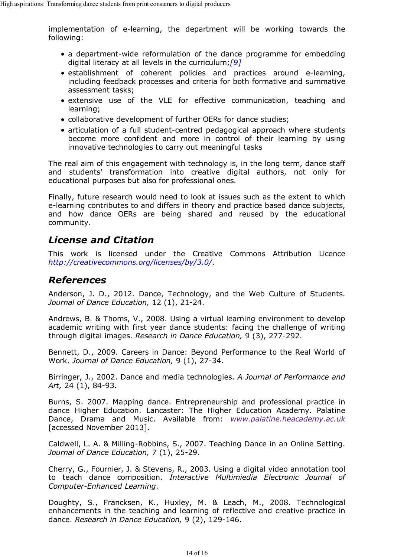implementation of e-learning, the department will be working towards the following:

- a department-wide reformulation of the dance programme for embedding digital literacy at all levels in the curriculum;*[9]*
- establishment of coherent policies and practices around e-learning, including feedback processes and criteria for both formative and summative assessment tasks;
- extensive use of the VLE for effective communication, teaching and learning;
- collaborative development of further OERs for dance studies;
- articulation of a full student-centred pedagogical approach where students become more confident and more in control of their learning by using innovative technologies to carry out meaningful tasks

The real aim of this engagement with technology is, in the long term, dance staff and students' transformation into creative digital authors, not only for educational purposes but also for professional ones.

Finally, future research would need to look at issues such as the extent to which e-learning contributes to and differs in theory and practice based dance subjects, and how dance OERs are being shared and reused by the educational community.

### *License and Citation*

This work is licensed under the Creative Commons Attribution Licence *http://creativecommons.org/licenses/by/3.0/*.

#### *References*

Anderson, J. D., 2012. Dance, Technology, and the Web Culture of Students. *Journal of Dance Education,* 12 (1), 21-24.

Andrews, B. & Thoms, V., 2008. Using a virtual learning environment to develop academic writing with first year dance students: facing the challenge of writing through digital images. *Research in Dance Education,* 9 (3), 277-292.

Bennett, D., 2009. Careers in Dance: Beyond Performance to the Real World of Work. *Journal of Dance Education,* 9 (1), 27-34.

Birringer, J., 2002. Dance and media technologies. *A Journal of Performance and Art,* 24 (1), 84-93.

Burns, S. 2007. Mapping dance. Entrepreneurship and professional practice in dance Higher Education. Lancaster: The Higher Education Academy. Palatine Dance, Drama and Music. Available from: *www.palatine.heacademy.ac.uk* [accessed November 2013].

Caldwell, L. A. & Milling-Robbins, S., 2007. Teaching Dance in an Online Setting. *Journal of Dance Education,* 7 (1), 25-29.

Cherry, G., Fournier, J. & Stevens, R., 2003. Using a digital video annotation tool to teach dance composition. *Interactive Multimiedia Electronic Journal of Computer-Enhanced Learning*.

Doughty, S., Francksen, K., Huxley, M. & Leach, M., 2008. Technological enhancements in the teaching and learning of reflective and creative practice in dance. *Research in Dance Education,* 9 (2), 129-146.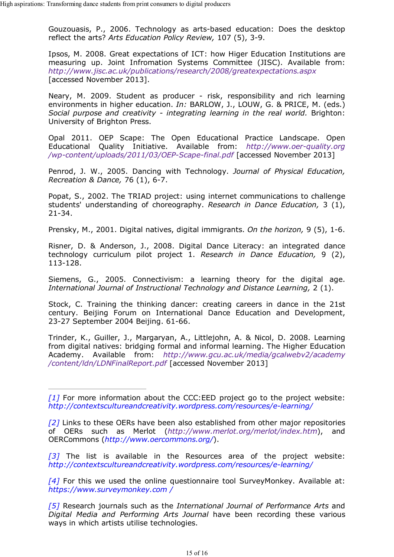Gouzouasis, P., 2006. Technology as arts-based education: Does the desktop reflect the arts? *Arts Education Policy Review,* 107 (5), 3-9.

Ipsos, M. 2008. Great expectations of ICT: how Higer Education Institutions are measuring up. Joint Infromation Systems Committee (JISC). Available from: *http://www.jisc.ac.uk/publications/research/2008/greatexpectations.aspx* [accessed November 2013].

Neary, M. 2009. Student as producer - risk, responsibility and rich learning environments in higher education. *In:* BARLOW, J., LOUW, G. & PRICE, M. (eds.) *Social purpose and creativity - integrating learning in the real world.* Brighton: University of Brighton Press.

Opal 2011. OEP Scape: The Open Educational Practice Landscape. Open Educational Quality Initiative. Available from: *http://www.oer-quality.org /wp-content/uploads/2011/03/OEP-Scape-final.pdf* [accessed November 2013]

Penrod, J. W., 2005. Dancing with Technology. *Journal of Physical Education, Recreation & Dance,* 76 (1), 6-7.

Popat, S., 2002. The TRIAD project: using internet communications to challenge students' understanding of choreography. *Research in Dance Education,* 3 (1), 21-34.

Prensky, M., 2001. Digital natives, digital immigrants. *On the horizon,* 9 (5), 1-6.

Risner, D. & Anderson, J., 2008. Digital Dance Literacy: an integrated dance technology curriculum pilot project 1. *Research in Dance Education,* 9 (2), 113-128.

Siemens, G., 2005. Connectivism: a learning theory for the digital age. *International Journal of Instructional Technology and Distance Learning,* 2 (1).

Stock, C. Training the thinking dancer: creating careers in dance in the 21st century. Beijing Forum on International Dance Education and Development, 23-27 September 2004 Beijing. 61-66.

Trinder, K., Guiller, J., Margaryan, A., Littlejohn, A. & Nicol, D. 2008. Learning from digital natives: bridging formal and informal learning. The Higher Education Academy. Available from: *http://www.gcu.ac.uk/media/gcalwebv2/academy /content/ldn/LDNFinalReport.pdf* [accessed November 2013]

*[3]* The list is available in the Resources area of the project website: *http://contextscultureandcreativity.wordpress.com/resources/e-learning/*

*[4]* For this we used the online questionnaire tool SurveyMonkey. Available at: *https://www.surveymonkey.com /*

*[5]* Research journals such as the *International Journal of Performance Arts* and *Digital Media and Performing Arts Journal* have been recording these various ways in which artists utilise technologies.

*<sup>[1]</sup>* For more information about the CCC:EED project go to the project website: *http://contextscultureandcreativity.wordpress.com/resources/e-learning/*

*<sup>[2]</sup>* Links to these OERs have been also established from other major repositories of OERs such as Merlot (*http://www.merlot.org/merlot/index.htm*), and OERCommons (*http://www.oercommons.org/*).